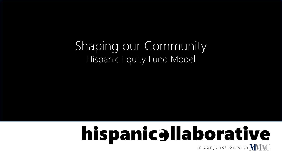## Shaping our Community Hispanic Equity Fund Model

# hispanicallaborative in conjunction with  $\textbf{W}\textbf{M}$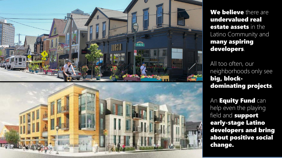

We believe there are undervalued real **estate assets** in the Latino Community and many aspiring developers.

All too often, our neighborhoods only see big, blockdominating projects.

An **Equity Fund** can help even the playing field and **support** early-stage Latino developers and bring about positive social change.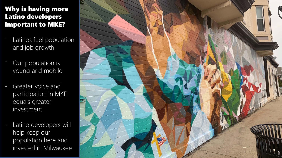#### Why is having more Latino developers important to MKE?

- Latinos fuel population and job growth
- Our population is young and mobile
- Greater voice and participation in MKE equals greater investment
- Latino developers will help keep our population here and invested in Milwaukee

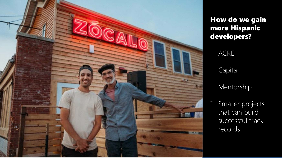

## How do we gain more Hispanic developers?

- **ACRE**
- **Capital**
- **Mentorship**
- Smaller projects that can build successful track records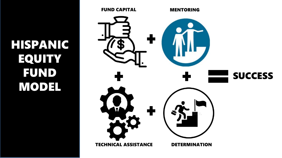HISPANIC EQUITY FUND MODEL

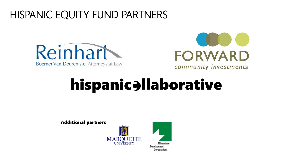## HISPANIC EQUITY FUND PARTNERS





# hispanicellaborative

Additional partners





Milwaukee **Development** Corporation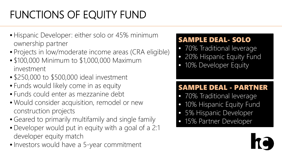# FUNCTIONS OF EQUITY FUND

- Hispanic Developer: either solo or 45% minimum ownership partner
- Projects in low/moderate income areas (CRA eligible)
- \$100,000 Minimum to \$1,000,000 Maximum investment
- \$250,000 to \$500,000 ideal investment
- Funds would likely come in as equity
- Funds could enter as mezzanine debt
- Would consider acquisition, remodel or new construction projects
- Geared to primarily multifamily and single family
- Developer would put in equity with a goal of a 2:1 developer equity match
- Investors would have a 5-year commitment

### SAMPLE DEAL- SOLO

- 70% Traditional leverage
- 20% Hispanic Equity Fund
- 10% Developer Equity

## SAMPLE DEAL - PARTNER

- 70% Traditional leverage
- 10% Hispanic Equity Fund
- 5% Hispanic Developer
- 15% Partner Developer